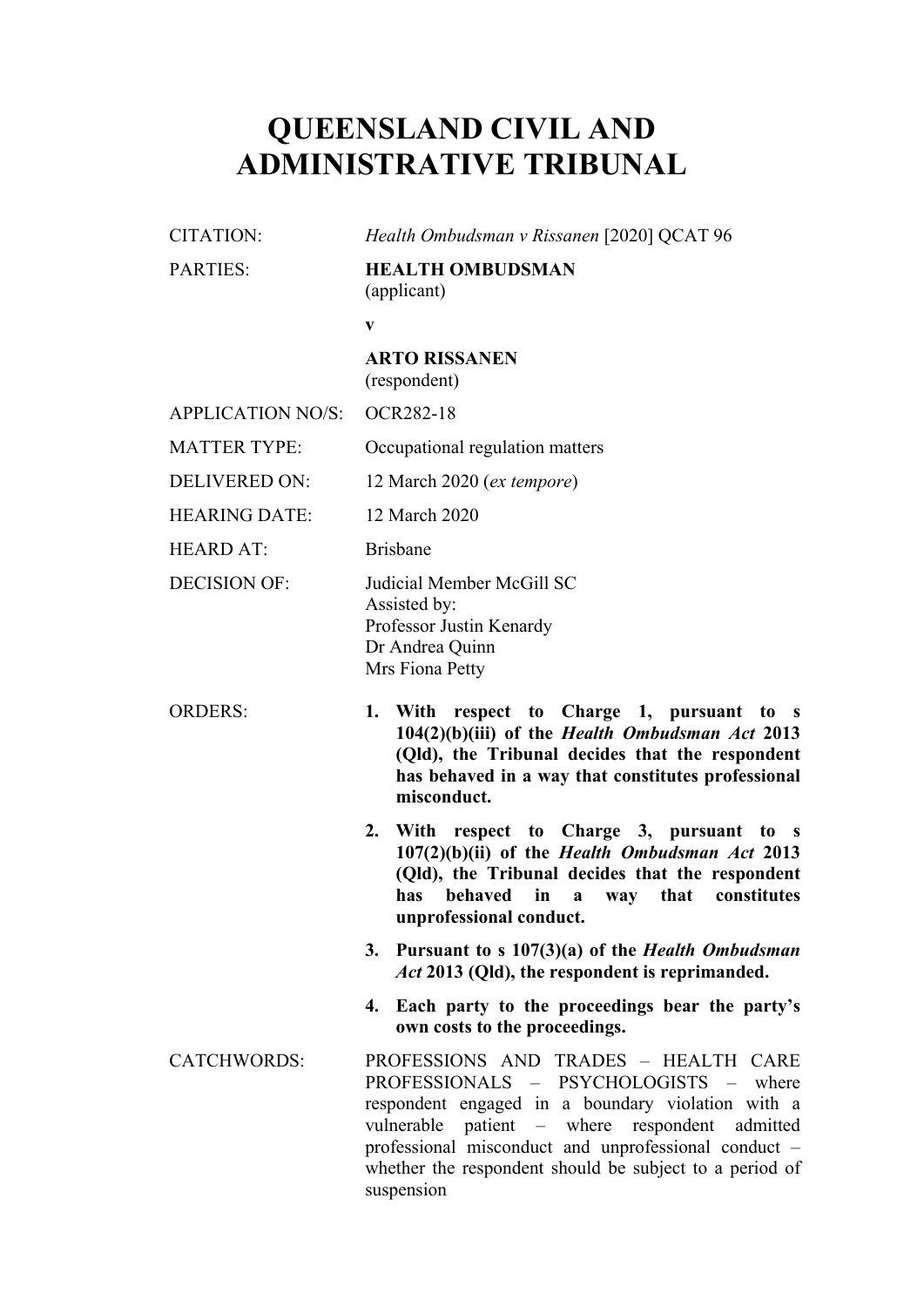# **QUEENSLAND CIVIL AND ADMINISTRATIVE TRIBUNAL**

| CITATION:                | Health Ombudsman v Rissanen [2020] QCAT 96                                                                                                                                                                                                                                                                                  |
|--------------------------|-----------------------------------------------------------------------------------------------------------------------------------------------------------------------------------------------------------------------------------------------------------------------------------------------------------------------------|
| <b>PARTIES:</b>          | <b>HEALTH OMBUDSMAN</b><br>(applicant)                                                                                                                                                                                                                                                                                      |
|                          | V                                                                                                                                                                                                                                                                                                                           |
|                          | <b>ARTO RISSANEN</b><br>(respondent)                                                                                                                                                                                                                                                                                        |
| <b>APPLICATION NO/S:</b> | <b>OCR282-18</b>                                                                                                                                                                                                                                                                                                            |
| <b>MATTER TYPE:</b>      | Occupational regulation matters                                                                                                                                                                                                                                                                                             |
| <b>DELIVERED ON:</b>     | 12 March 2020 ( <i>ex tempore</i> )                                                                                                                                                                                                                                                                                         |
| <b>HEARING DATE:</b>     | 12 March 2020                                                                                                                                                                                                                                                                                                               |
| <b>HEARD AT:</b>         | <b>Brisbane</b>                                                                                                                                                                                                                                                                                                             |
| <b>DECISION OF:</b>      | Judicial Member McGill SC<br>Assisted by:<br>Professor Justin Kenardy<br>Dr Andrea Quinn<br>Mrs Fiona Petty                                                                                                                                                                                                                 |
| <b>ORDERS:</b>           | respect to Charge 1, pursuant to s<br>With<br>1.<br>$104(2)(b)(iii)$ of the <i>Health Ombudsman Act</i> 2013<br>(Qld), the Tribunal decides that the respondent<br>has behaved in a way that constitutes professional<br>misconduct.                                                                                        |
|                          | With respect to Charge 3, pursuant to s<br>2.<br>$107(2)(b)(ii)$ of the Health Ombudsman Act 2013<br>(Qld), the Tribunal decides that the respondent<br>behaved<br>in<br>that constitutes<br>has<br>$\mathbf{a}$<br>way<br>unprofessional conduct.                                                                          |
|                          | Pursuant to s $107(3)(a)$ of the <i>Health Ombudsman</i><br>3.<br>Act 2013 (Qld), the respondent is reprimanded.                                                                                                                                                                                                            |
|                          | Each party to the proceedings bear the party's<br>4.<br>own costs to the proceedings.                                                                                                                                                                                                                                       |
| <b>CATCHWORDS:</b>       | PROFESSIONS AND TRADES - HEALTH CARE<br>PROFESSIONALS - PSYCHOLOGISTS -<br>where<br>respondent engaged in a boundary violation with a<br>patient – where respondent admitted<br>vulnerable<br>professional misconduct and unprofessional conduct -<br>whether the respondent should be subject to a period of<br>suspension |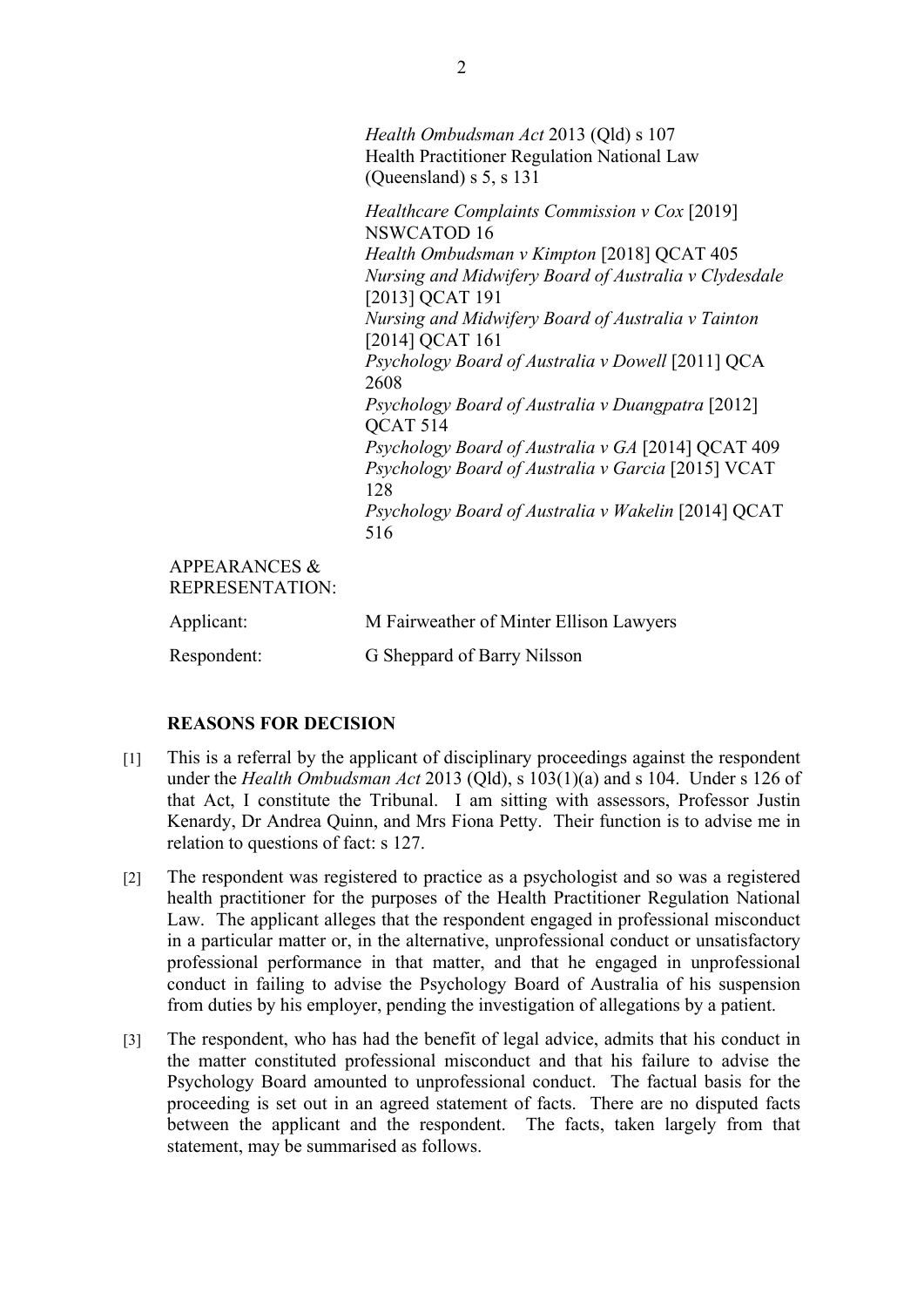*Health Ombudsman Act* 2013 (Qld) s 107 Health Practitioner Regulation National Law (Queensland) s 5, s 131

*Healthcare Complaints Commission v Cox* [2019] NSWCATOD 16 *Health Ombudsman v Kimpton* [2018] QCAT 405 *Nursing and Midwifery Board of Australia v Clydesdale* [2013] QCAT 191 *Nursing and Midwifery Board of Australia v Tainton* [2014] QCAT 161 *Psychology Board of Australia v Dowell* [2011] QCA 2608 *Psychology Board of Australia v Duangpatra* [2012] QCAT 514 *Psychology Board of Australia v GA* [2014] QCAT 409 *Psychology Board of Australia v Garcia* [2015] VCAT 128 *Psychology Board of Australia v Wakelin* [2014] QCAT 516

## APPEARANCES & REPRESENTATION:

| Applicant:  | M Fairweather of Minter Ellison Lawyers |
|-------------|-----------------------------------------|
| Respondent: | G Sheppard of Barry Nilsson             |

### **REASONS FOR DECISION**

- [1] This is a referral by the applicant of disciplinary proceedings against the respondent under the *Health Ombudsman Act* 2013 (Qld), s 103(1)(a) and s 104. Under s 126 of that Act, I constitute the Tribunal. I am sitting with assessors, Professor Justin Kenardy, Dr Andrea Quinn, and Mrs Fiona Petty. Their function is to advise me in relation to questions of fact: s 127.
- [2] The respondent was registered to practice as a psychologist and so was a registered health practitioner for the purposes of the Health Practitioner Regulation National Law. The applicant alleges that the respondent engaged in professional misconduct in a particular matter or, in the alternative, unprofessional conduct or unsatisfactory professional performance in that matter, and that he engaged in unprofessional conduct in failing to advise the Psychology Board of Australia of his suspension from duties by his employer, pending the investigation of allegations by a patient.
- [3] The respondent, who has had the benefit of legal advice, admits that his conduct in the matter constituted professional misconduct and that his failure to advise the Psychology Board amounted to unprofessional conduct. The factual basis for the proceeding is set out in an agreed statement of facts. There are no disputed facts between the applicant and the respondent. The facts, taken largely from that statement, may be summarised as follows.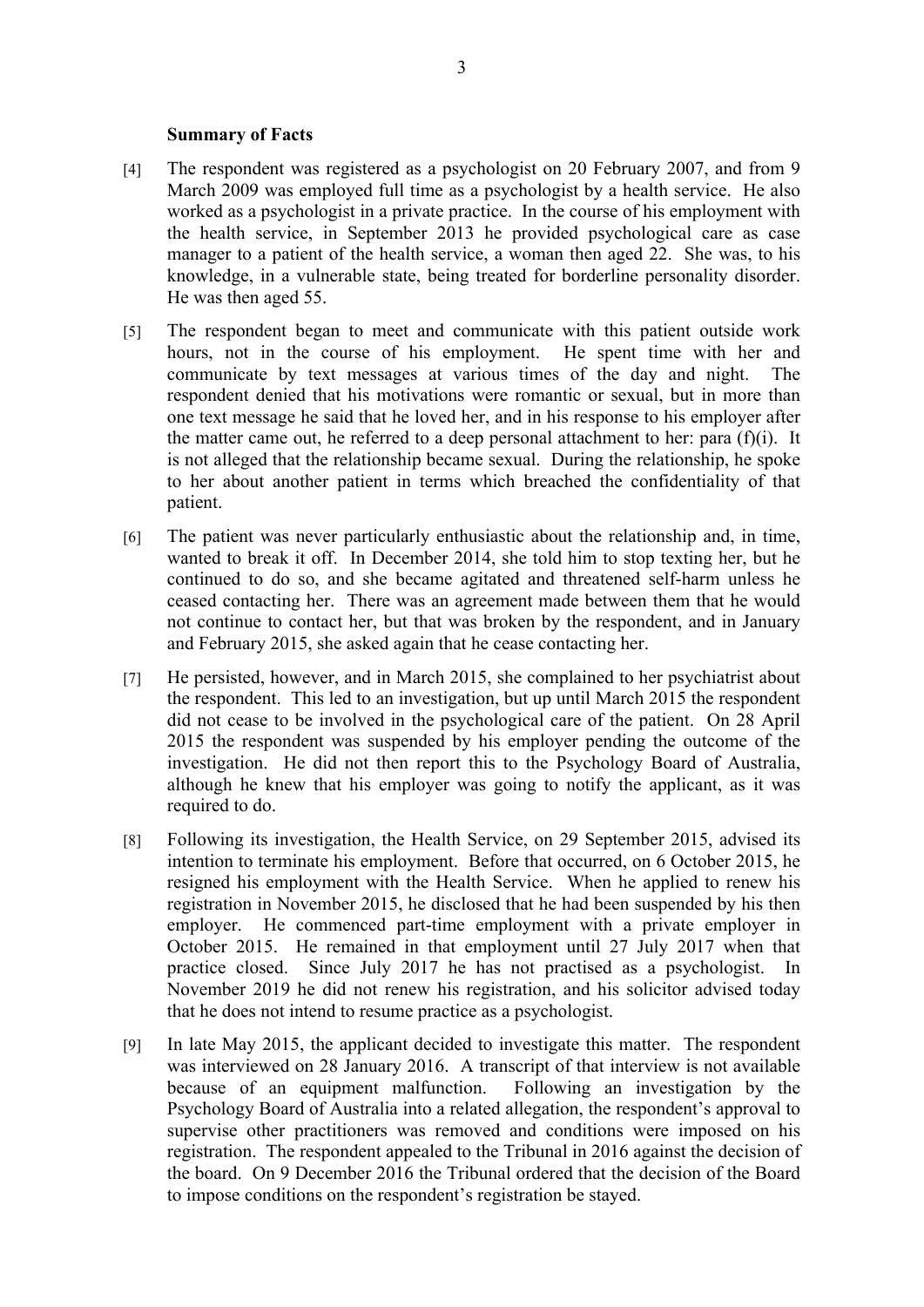#### **Summary of Facts**

- [4] The respondent was registered as a psychologist on 20 February 2007, and from 9 March 2009 was employed full time as a psychologist by a health service. He also worked as a psychologist in a private practice. In the course of his employment with the health service, in September 2013 he provided psychological care as case manager to a patient of the health service, a woman then aged 22. She was, to his knowledge, in a vulnerable state, being treated for borderline personality disorder. He was then aged 55.
- [5] The respondent began to meet and communicate with this patient outside work hours, not in the course of his employment. He spent time with her and communicate by text messages at various times of the day and night. The respondent denied that his motivations were romantic or sexual, but in more than one text message he said that he loved her, and in his response to his employer after the matter came out, he referred to a deep personal attachment to her: para  $(f)(i)$ . It is not alleged that the relationship became sexual. During the relationship, he spoke to her about another patient in terms which breached the confidentiality of that patient.
- [6] The patient was never particularly enthusiastic about the relationship and, in time, wanted to break it off. In December 2014, she told him to stop texting her, but he continued to do so, and she became agitated and threatened self-harm unless he ceased contacting her. There was an agreement made between them that he would not continue to contact her, but that was broken by the respondent, and in January and February 2015, she asked again that he cease contacting her.
- [7] He persisted, however, and in March 2015, she complained to her psychiatrist about the respondent. This led to an investigation, but up until March 2015 the respondent did not cease to be involved in the psychological care of the patient. On 28 April 2015 the respondent was suspended by his employer pending the outcome of the investigation. He did not then report this to the Psychology Board of Australia, although he knew that his employer was going to notify the applicant, as it was required to do.
- [8] Following its investigation, the Health Service, on 29 September 2015, advised its intention to terminate his employment. Before that occurred, on 6 October 2015, he resigned his employment with the Health Service. When he applied to renew his registration in November 2015, he disclosed that he had been suspended by his then employer. He commenced part-time employment with a private employer in October 2015. He remained in that employment until 27 July 2017 when that practice closed. Since July 2017 he has not practised as a psychologist. In November 2019 he did not renew his registration, and his solicitor advised today that he does not intend to resume practice as a psychologist.
- [9] In late May 2015, the applicant decided to investigate this matter. The respondent was interviewed on 28 January 2016. A transcript of that interview is not available because of an equipment malfunction. Following an investigation by the Psychology Board of Australia into a related allegation, the respondent's approval to supervise other practitioners was removed and conditions were imposed on his registration. The respondent appealed to the Tribunal in 2016 against the decision of the board. On 9 December 2016 the Tribunal ordered that the decision of the Board to impose conditions on the respondent's registration be stayed.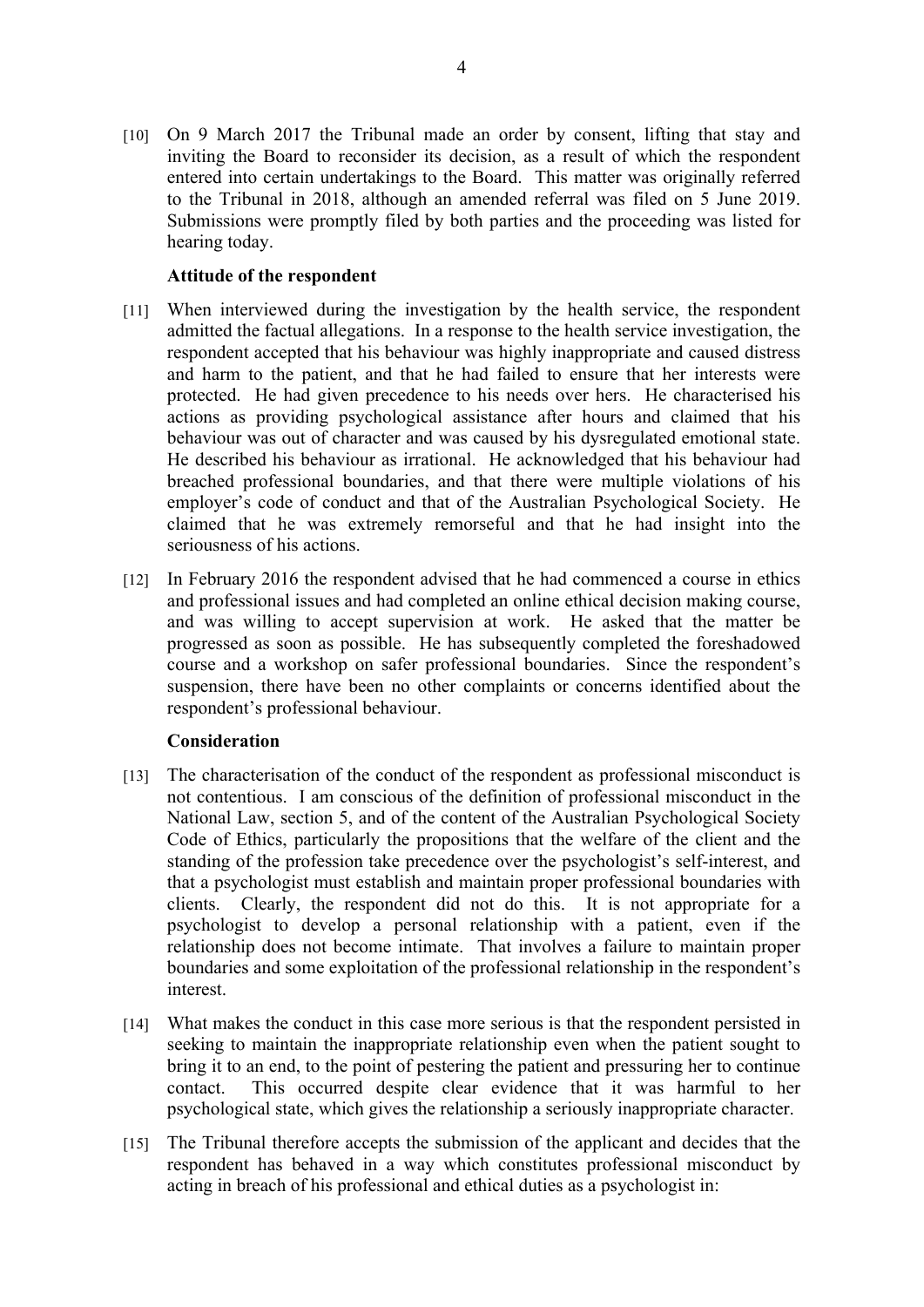[10] On 9 March 2017 the Tribunal made an order by consent, lifting that stay and inviting the Board to reconsider its decision, as a result of which the respondent entered into certain undertakings to the Board. This matter was originally referred to the Tribunal in 2018, although an amended referral was filed on 5 June 2019. Submissions were promptly filed by both parties and the proceeding was listed for hearing today.

#### **Attitude of the respondent**

- [11] When interviewed during the investigation by the health service, the respondent admitted the factual allegations. In a response to the health service investigation, the respondent accepted that his behaviour was highly inappropriate and caused distress and harm to the patient, and that he had failed to ensure that her interests were protected. He had given precedence to his needs over hers. He characterised his actions as providing psychological assistance after hours and claimed that his behaviour was out of character and was caused by his dysregulated emotional state. He described his behaviour as irrational. He acknowledged that his behaviour had breached professional boundaries, and that there were multiple violations of his employer's code of conduct and that of the Australian Psychological Society. He claimed that he was extremely remorseful and that he had insight into the seriousness of his actions.
- [12] In February 2016 the respondent advised that he had commenced a course in ethics and professional issues and had completed an online ethical decision making course, and was willing to accept supervision at work. He asked that the matter be progressed as soon as possible. He has subsequently completed the foreshadowed course and a workshop on safer professional boundaries. Since the respondent's suspension, there have been no other complaints or concerns identified about the respondent's professional behaviour.

#### **Consideration**

- [13] The characterisation of the conduct of the respondent as professional misconduct is not contentious. I am conscious of the definition of professional misconduct in the National Law, section 5, and of the content of the Australian Psychological Society Code of Ethics, particularly the propositions that the welfare of the client and the standing of the profession take precedence over the psychologist's self-interest, and that a psychologist must establish and maintain proper professional boundaries with clients. Clearly, the respondent did not do this. It is not appropriate for a psychologist to develop a personal relationship with a patient, even if the relationship does not become intimate. That involves a failure to maintain proper boundaries and some exploitation of the professional relationship in the respondent's interest.
- [14] What makes the conduct in this case more serious is that the respondent persisted in seeking to maintain the inappropriate relationship even when the patient sought to bring it to an end, to the point of pestering the patient and pressuring her to continue contact. This occurred despite clear evidence that it was harmful to her psychological state, which gives the relationship a seriously inappropriate character.
- [15] The Tribunal therefore accepts the submission of the applicant and decides that the respondent has behaved in a way which constitutes professional misconduct by acting in breach of his professional and ethical duties as a psychologist in: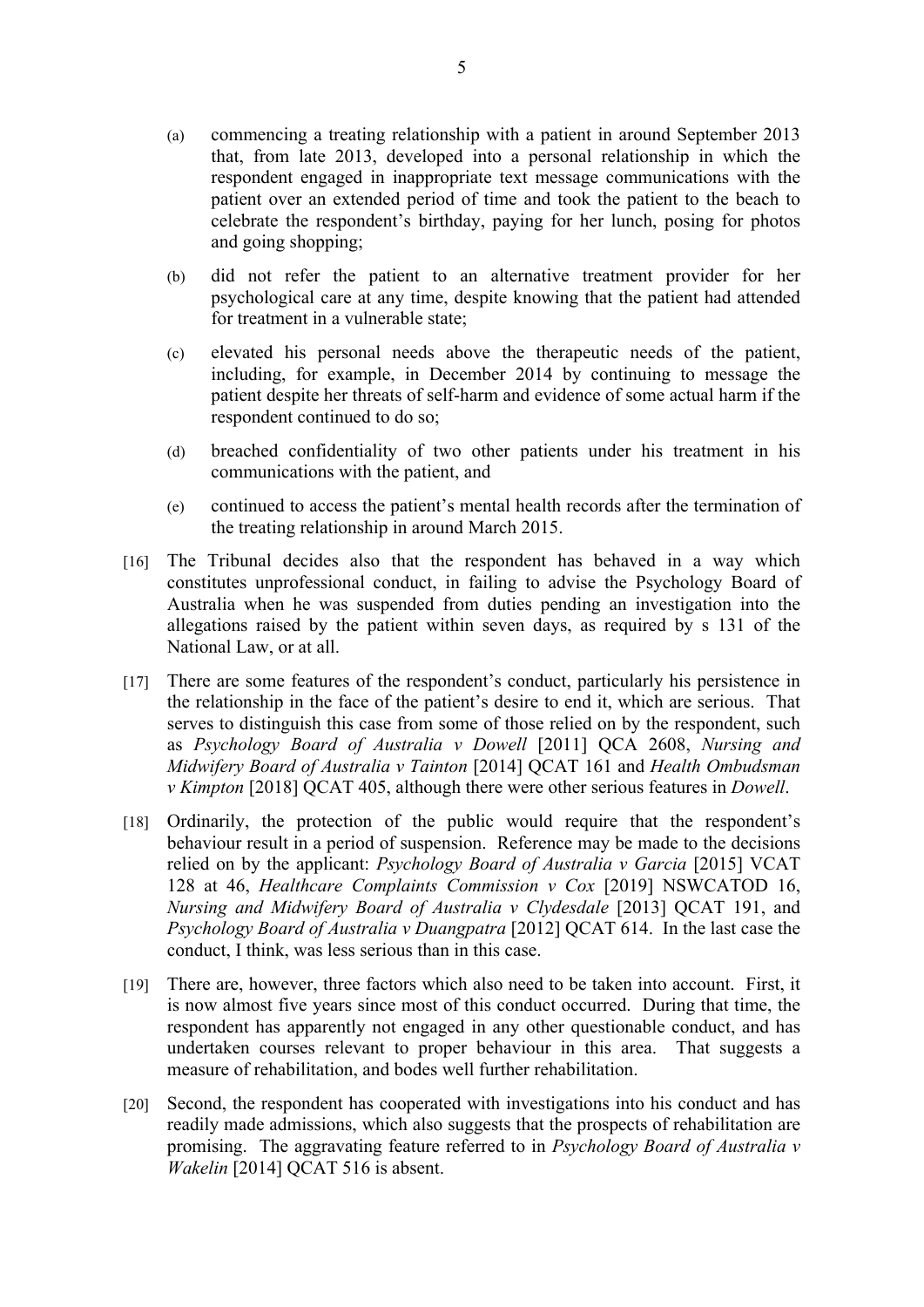- (a) commencing a treating relationship with a patient in around September 2013 that, from late 2013, developed into a personal relationship in which the respondent engaged in inappropriate text message communications with the patient over an extended period of time and took the patient to the beach to celebrate the respondent's birthday, paying for her lunch, posing for photos and going shopping;
- (b) did not refer the patient to an alternative treatment provider for her psychological care at any time, despite knowing that the patient had attended for treatment in a vulnerable state;
- (c) elevated his personal needs above the therapeutic needs of the patient, including, for example, in December 2014 by continuing to message the patient despite her threats of self-harm and evidence of some actual harm if the respondent continued to do so;
- (d) breached confidentiality of two other patients under his treatment in his communications with the patient, and
- (e) continued to access the patient's mental health records after the termination of the treating relationship in around March 2015.
- [16] The Tribunal decides also that the respondent has behaved in a way which constitutes unprofessional conduct, in failing to advise the Psychology Board of Australia when he was suspended from duties pending an investigation into the allegations raised by the patient within seven days, as required by s 131 of the National Law, or at all.
- [17] There are some features of the respondent's conduct, particularly his persistence in the relationship in the face of the patient's desire to end it, which are serious. That serves to distinguish this case from some of those relied on by the respondent, such as *Psychology Board of Australia v Dowell* [2011] QCA 2608, *Nursing and Midwifery Board of Australia v Tainton* [2014] QCAT 161 and *Health Ombudsman v Kimpton* [2018] QCAT 405, although there were other serious features in *Dowell*.
- [18] Ordinarily, the protection of the public would require that the respondent's behaviour result in a period of suspension. Reference may be made to the decisions relied on by the applicant: *Psychology Board of Australia v Garcia* [2015] VCAT 128 at 46, *Healthcare Complaints Commission v Cox* [2019] NSWCATOD 16, *Nursing and Midwifery Board of Australia v Clydesdale* [2013] QCAT 191, and *Psychology Board of Australia v Duangpatra* [2012] QCAT 614. In the last case the conduct, I think, was less serious than in this case.
- [19] There are, however, three factors which also need to be taken into account. First, it is now almost five years since most of this conduct occurred. During that time, the respondent has apparently not engaged in any other questionable conduct, and has undertaken courses relevant to proper behaviour in this area. That suggests a measure of rehabilitation, and bodes well further rehabilitation.
- [20] Second, the respondent has cooperated with investigations into his conduct and has readily made admissions, which also suggests that the prospects of rehabilitation are promising. The aggravating feature referred to in *Psychology Board of Australia v Wakelin* [2014] QCAT 516 is absent.